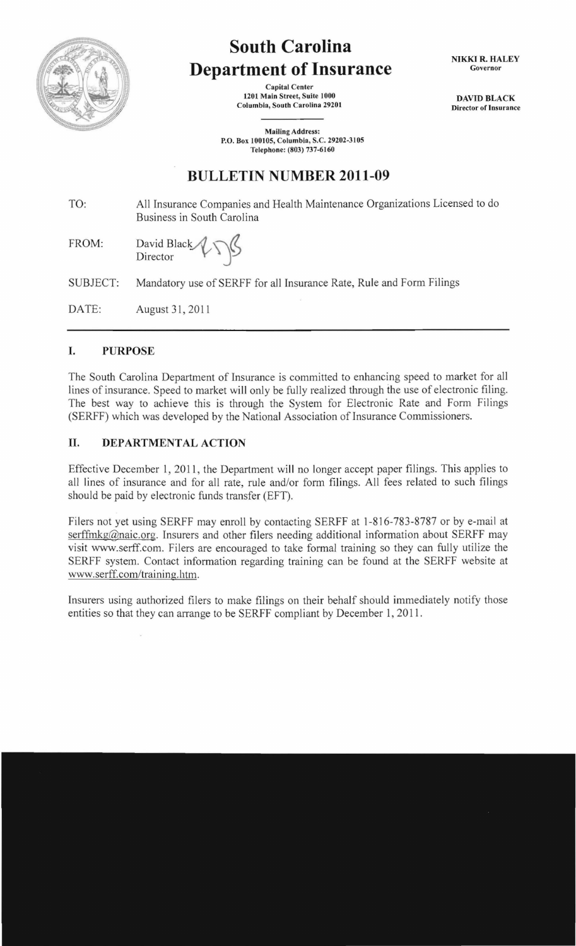

# **South Carolina Department of Insurance**

Capital Center 1201 Main Street, Suite 1000 Columbia, South Carolina 29201

Mailing Address: P.O. Box 100105, Columbia, S.C. 29202-3105 Telephone: (803) 737-6160

NIKKI R. HALEY Governor

DAVID BLACK Director of Insurance

## **BULLETIN NUMBER 2011-09**

TO: All Insurance Companies and Health Maintenance Organizations Licensed to do Business in South Carolina

FROM: David Black  $\sqrt{\mathcal{S}}$ 

SUBJECT: Mandatory use of SERFF for all Insurance Rate, Rule and Form Filings

DATE: August 31,2011

#### I. PURPOSE

The South Carolina Department of Insurance is committed to enhancing speed to market for all lines of insurance. Speed to market will only be fully realized through the use of electronic filing. The best way to achieve this is through the System for Electronic Rate and Form Filings (SERFF) which was developed by the National Association of Insurance Commissioners.

#### II. DEPARTMENTAL ACTION

Effective December 1, 2011, the Department will no longer accept paper filings. This applies to all lines of insurance and for all rate, rule and/or form filings. All fees related to such filings should be paid by electronic funds transfer (EFT).

Filers not yet using SERFF may enroll by contacting SERFF at 1-816-783-8787 or by e-mail at serffmkg@naic.org. Insurers and other filers needing additional information about SERFF may visit www.serff.com. Filers are encouraged to take formal training so they can fully utilize the SERFF system. Contact information regarding training can be found at the SERFF website at www.serff.com/training. htm.

Insurers using authorized filers to make filings on their behalf should immediately notify those entities so that they can arrange to be SERFF compliant by December 1, 2011.